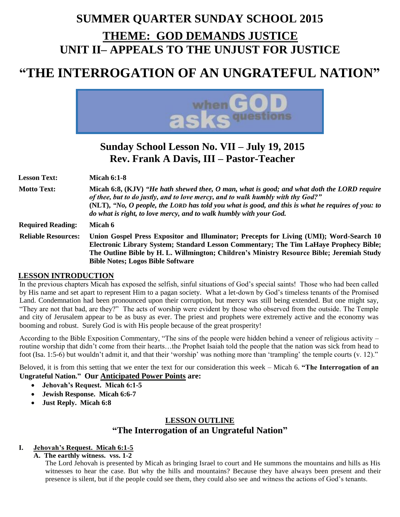## **SUMMER QUARTER SUNDAY SCHOOL 2015 THEME: GOD DEMANDS JUSTICE UNIT II– APPEALS TO THE UNJUST FOR JUSTICE**

# **"THE INTERROGATION OF AN UNGRATEFUL NATION"**



### **Sunday School Lesson No. VII – July 19, 2015 Rev. Frank A Davis, III – Pastor-Teacher**

**Lesson Text: Micah 6:1-8**

**Motto Text: Micah 6:8, (KJV)** *"He hath shewed thee, O man, what is good; and what doth the LORD require of thee, but to do justly, and to love mercy, and to walk humbly with thy God?"* **(NLT),** *"No, O people, the LORD has told you what is good, and this is what he requires of you: to do what is right, to love mercy, and to walk humbly with your God.* **Required Reading: Micah 6**

**Reliable Resources: Union Gospel Press Expositor and Illuminator; Precepts for Living (UMI); Word-Search 10 Electronic Library System; Standard Lesson Commentary; The Tim LaHaye Prophecy Bible; The Outline Bible by H. L. Willmington; Children's Ministry Resource Bible; Jeremiah Study Bible Notes; Logos Bible Software**

#### **LESSON INTRODUCTION**

In the previous chapters Micah has exposed the selfish, sinful situations of God's special saints! Those who had been called by His name and set apart to represent Him to a pagan society. What a let-down by God's timeless tenants of the Promised Land. Condemnation had been pronounced upon their corruption, but mercy was still being extended. But one might say, "They are not that bad, are they?" The acts of worship were evident by those who observed from the outside. The Temple and city of Jerusalem appear to be as busy as ever. The priest and prophets were extremely active and the economy was booming and robust. Surely God is with His people because of the great prosperity!

According to the Bible Exposition Commentary, "The sins of the people were hidden behind a veneer of religious activity – routine worship that didn't come from their hearts…the Prophet Isaiah told the people that the nation was sick from head to foot (Isa. 1:5-6) but wouldn't admit it, and that their 'worship' was nothing more than 'trampling' the temple courts (v. 12)."

Beloved, it is from this setting that we enter the text for our consideration this week – Micah 6. **"The Interrogation of an Ungrateful Nation." Our Anticipated Power Points are:** 

- **Jehovah's Request. Micah 6:1-5**
	- **Jewish Response. Micah 6:6-7**
	- **Just Reply. Micah 6:8**

### **LESSON OUTLINE "The Interrogation of an Ungrateful Nation"**

#### **I. Jehovah's Request. Micah 6:1-5**

**A. The earthly witness. vss. 1-2**

The Lord Jehovah is presented by Micah as bringing Israel to court and He summons the mountains and hills as His witnesses to hear the case. But why the hills and mountains? Because they have always been present and their presence is silent, but if the people could see them, they could also see and witness the actions of God's tenants.